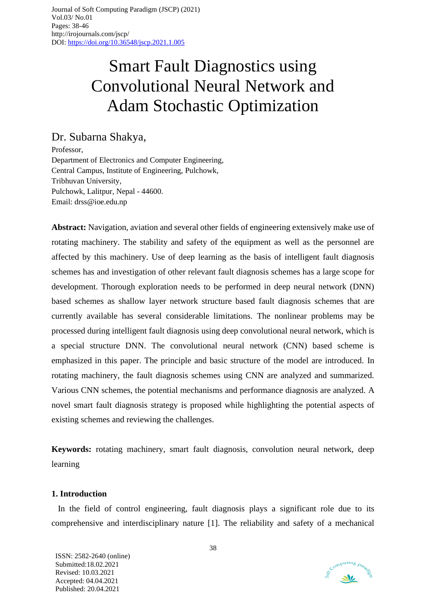# Smart Fault Diagnostics using Convolutional Neural Network and Adam Stochastic Optimization

Dr. Subarna Shakya,

Professor, Department of Electronics and Computer Engineering, Central Campus, Institute of Engineering, Pulchowk, Tribhuvan University, Pulchowk, Lalitpur, Nepal - 44600. Email: drss@ioe.edu.np

**Abstract:** Navigation, aviation and several other fields of engineering extensively make use of rotating machinery. The stability and safety of the equipment as well as the personnel are affected by this machinery. Use of deep learning as the basis of intelligent fault diagnosis schemes has and investigation of other relevant fault diagnosis schemes has a large scope for development. Thorough exploration needs to be performed in deep neural network (DNN) based schemes as shallow layer network structure based fault diagnosis schemes that are currently available has several considerable limitations. The nonlinear problems may be processed during intelligent fault diagnosis using deep convolutional neural network, which is a special structure DNN. The convolutional neural network (CNN) based scheme is emphasized in this paper. The principle and basic structure of the model are introduced. In rotating machinery, the fault diagnosis schemes using CNN are analyzed and summarized. Various CNN schemes, the potential mechanisms and performance diagnosis are analyzed. A novel smart fault diagnosis strategy is proposed while highlighting the potential aspects of existing schemes and reviewing the challenges.

**Keywords:** rotating machinery, smart fault diagnosis, convolution neural network, deep learning

## **1. Introduction**

In the field of control engineering, fault diagnosis plays a significant role due to its comprehensive and interdisciplinary nature [1]. The reliability and safety of a mechanical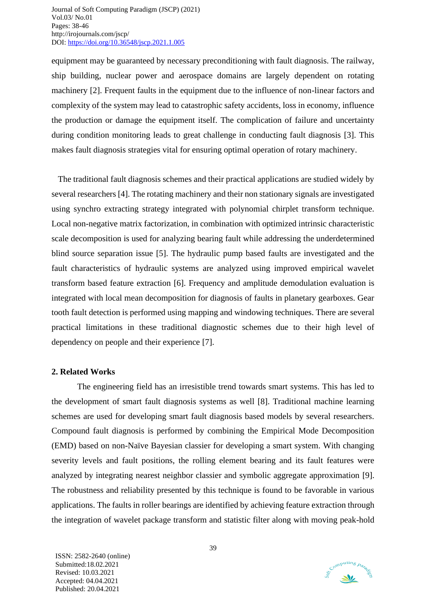equipment may be guaranteed by necessary preconditioning with fault diagnosis. The railway, ship building, nuclear power and aerospace domains are largely dependent on rotating machinery [2]. Frequent faults in the equipment due to the influence of non-linear factors and complexity of the system may lead to catastrophic safety accidents, loss in economy, influence the production or damage the equipment itself. The complication of failure and uncertainty during condition monitoring leads to great challenge in conducting fault diagnosis [3]. This makes fault diagnosis strategies vital for ensuring optimal operation of rotary machinery.

The traditional fault diagnosis schemes and their practical applications are studied widely by several researchers [4]. The rotating machinery and their non stationary signals are investigated using synchro extracting strategy integrated with polynomial chirplet transform technique. Local non-negative matrix factorization, in combination with optimized intrinsic characteristic scale decomposition is used for analyzing bearing fault while addressing the underdetermined blind source separation issue [5]. The hydraulic pump based faults are investigated and the fault characteristics of hydraulic systems are analyzed using improved empirical wavelet transform based feature extraction [6]. Frequency and amplitude demodulation evaluation is integrated with local mean decomposition for diagnosis of faults in planetary gearboxes. Gear tooth fault detection is performed using mapping and windowing techniques. There are several practical limitations in these traditional diagnostic schemes due to their high level of dependency on people and their experience [7].

### **2. Related Works**

The engineering field has an irresistible trend towards smart systems. This has led to the development of smart fault diagnosis systems as well [8]. Traditional machine learning schemes are used for developing smart fault diagnosis based models by several researchers. Compound fault diagnosis is performed by combining the Empirical Mode Decomposition (EMD) based on non-Naïve Bayesian classier for developing a smart system. With changing severity levels and fault positions, the rolling element bearing and its fault features were analyzed by integrating nearest neighbor classier and symbolic aggregate approximation [9]. The robustness and reliability presented by this technique is found to be favorable in various applications. The faults in roller bearings are identified by achieving feature extraction through the integration of wavelet package transform and statistic filter along with moving peak-hold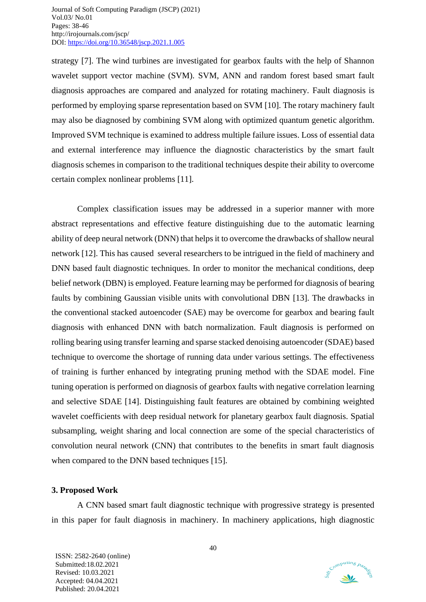strategy [7]. The wind turbines are investigated for gearbox faults with the help of Shannon wavelet support vector machine (SVM). SVM, ANN and random forest based smart fault diagnosis approaches are compared and analyzed for rotating machinery. Fault diagnosis is performed by employing sparse representation based on SVM [10]. The rotary machinery fault may also be diagnosed by combining SVM along with optimized quantum genetic algorithm. Improved SVM technique is examined to address multiple failure issues. Loss of essential data and external interference may influence the diagnostic characteristics by the smart fault diagnosis schemes in comparison to the traditional techniques despite their ability to overcome certain complex nonlinear problems [11].

Complex classification issues may be addressed in a superior manner with more abstract representations and effective feature distinguishing due to the automatic learning ability of deep neural network (DNN) that helps it to overcome the drawbacks of shallow neural network [12]. This has caused several researchers to be intrigued in the field of machinery and DNN based fault diagnostic techniques. In order to monitor the mechanical conditions, deep belief network (DBN) is employed. Feature learning may be performed for diagnosis of bearing faults by combining Gaussian visible units with convolutional DBN [13]. The drawbacks in the conventional stacked autoencoder (SAE) may be overcome for gearbox and bearing fault diagnosis with enhanced DNN with batch normalization. Fault diagnosis is performed on rolling bearing using transfer learning and sparse stacked denoising autoencoder (SDAE) based technique to overcome the shortage of running data under various settings. The effectiveness of training is further enhanced by integrating pruning method with the SDAE model. Fine tuning operation is performed on diagnosis of gearbox faults with negative correlation learning and selective SDAE [14]. Distinguishing fault features are obtained by combining weighted wavelet coefficients with deep residual network for planetary gearbox fault diagnosis. Spatial subsampling, weight sharing and local connection are some of the special characteristics of convolution neural network (CNN) that contributes to the benefits in smart fault diagnosis when compared to the DNN based techniques [15].

#### **3. Proposed Work**

A CNN based smart fault diagnostic technique with progressive strategy is presented in this paper for fault diagnosis in machinery. In machinery applications, high diagnostic

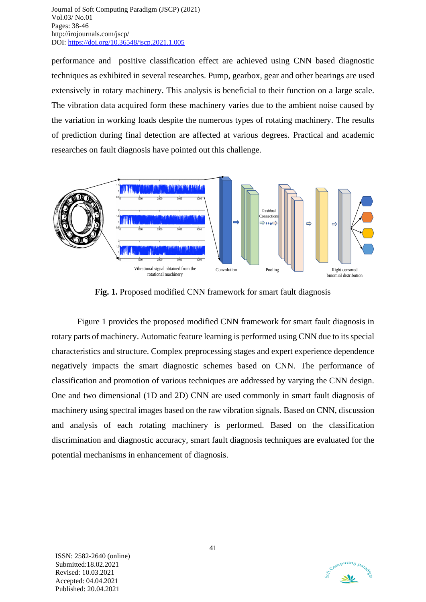performance and positive classification effect are achieved using CNN based diagnostic techniques as exhibited in several researches. Pump, gearbox, gear and other bearings are used extensively in rotary machinery. This analysis is beneficial to their function on a large scale. The vibration data acquired form these machinery varies due to the ambient noise caused by the variation in working loads despite the numerous types of rotating machinery. The results of prediction during final detection are affected at various degrees. Practical and academic researches on fault diagnosis have pointed out this challenge.



**Fig. 1.** Proposed modified CNN framework for smart fault diagnosis

Figure 1 provides the proposed modified CNN framework for smart fault diagnosis in rotary parts of machinery. Automatic feature learning is performed using CNN due to its special characteristics and structure. Complex preprocessing stages and expert experience dependence negatively impacts the smart diagnostic schemes based on CNN. The performance of classification and promotion of various techniques are addressed by varying the CNN design. One and two dimensional (1D and 2D) CNN are used commonly in smart fault diagnosis of machinery using spectral images based on the raw vibration signals. Based on CNN, discussion and analysis of each rotating machinery is performed. Based on the classification discrimination and diagnostic accuracy, smart fault diagnosis techniques are evaluated for the potential mechanisms in enhancement of diagnosis.

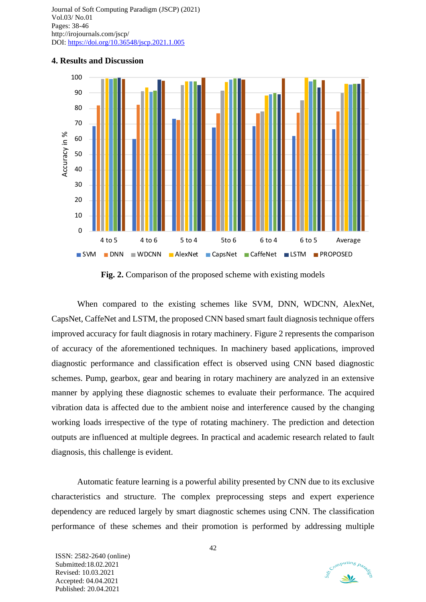

#### **4. Results and Discussion**

**Fig. 2.** Comparison of the proposed scheme with existing models

When compared to the existing schemes like SVM, DNN, WDCNN, AlexNet, CapsNet, CaffeNet and LSTM, the proposed CNN based smart fault diagnosis technique offers improved accuracy for fault diagnosis in rotary machinery. Figure 2 represents the comparison of accuracy of the aforementioned techniques. In machinery based applications, improved diagnostic performance and classification effect is observed using CNN based diagnostic schemes. Pump, gearbox, gear and bearing in rotary machinery are analyzed in an extensive manner by applying these diagnostic schemes to evaluate their performance. The acquired vibration data is affected due to the ambient noise and interference caused by the changing working loads irrespective of the type of rotating machinery. The prediction and detection outputs are influenced at multiple degrees. In practical and academic research related to fault diagnosis, this challenge is evident.

Automatic feature learning is a powerful ability presented by CNN due to its exclusive characteristics and structure. The complex preprocessing steps and expert experience dependency are reduced largely by smart diagnostic schemes using CNN. The classification performance of these schemes and their promotion is performed by addressing multiple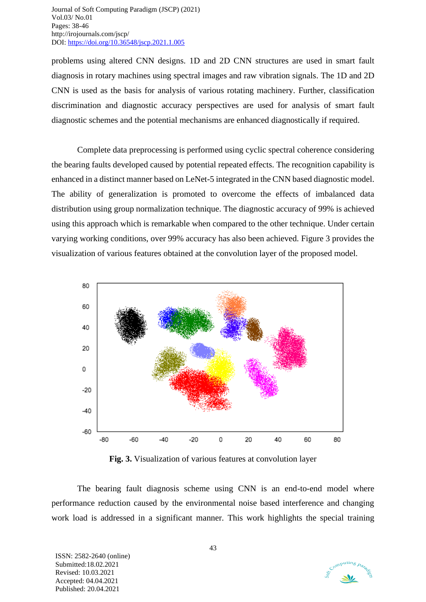problems using altered CNN designs. 1D and 2D CNN structures are used in smart fault diagnosis in rotary machines using spectral images and raw vibration signals. The 1D and 2D CNN is used as the basis for analysis of various rotating machinery. Further, classification discrimination and diagnostic accuracy perspectives are used for analysis of smart fault diagnostic schemes and the potential mechanisms are enhanced diagnostically if required.

Complete data preprocessing is performed using cyclic spectral coherence considering the bearing faults developed caused by potential repeated effects. The recognition capability is enhanced in a distinct manner based on LeNet-5 integrated in the CNN based diagnostic model. The ability of generalization is promoted to overcome the effects of imbalanced data distribution using group normalization technique. The diagnostic accuracy of 99% is achieved using this approach which is remarkable when compared to the other technique. Under certain varying working conditions, over 99% accuracy has also been achieved. Figure 3 provides the visualization of various features obtained at the convolution layer of the proposed model.



**Fig. 3.** Visualization of various features at convolution layer

The bearing fault diagnosis scheme using CNN is an end-to-end model where performance reduction caused by the environmental noise based interference and changing work load is addressed in a significant manner. This work highlights the special training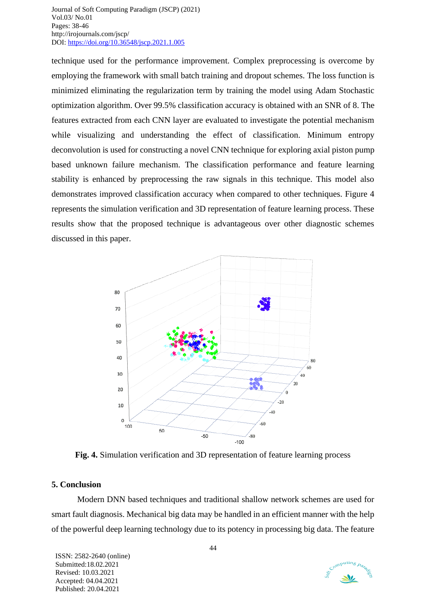technique used for the performance improvement. Complex preprocessing is overcome by employing the framework with small batch training and dropout schemes. The loss function is minimized eliminating the regularization term by training the model using Adam Stochastic optimization algorithm. Over 99.5% classification accuracy is obtained with an SNR of 8. The features extracted from each CNN layer are evaluated to investigate the potential mechanism while visualizing and understanding the effect of classification. Minimum entropy deconvolution is used for constructing a novel CNN technique for exploring axial piston pump based unknown failure mechanism. The classification performance and feature learning stability is enhanced by preprocessing the raw signals in this technique. This model also demonstrates improved classification accuracy when compared to other techniques. Figure 4 represents the simulation verification and 3D representation of feature learning process. These results show that the proposed technique is advantageous over other diagnostic schemes discussed in this paper.



**Fig. 4.** Simulation verification and 3D representation of feature learning process

## **5. Conclusion**

Modern DNN based techniques and traditional shallow network schemes are used for smart fault diagnosis. Mechanical big data may be handled in an efficient manner with the help of the powerful deep learning technology due to its potency in processing big data. The feature

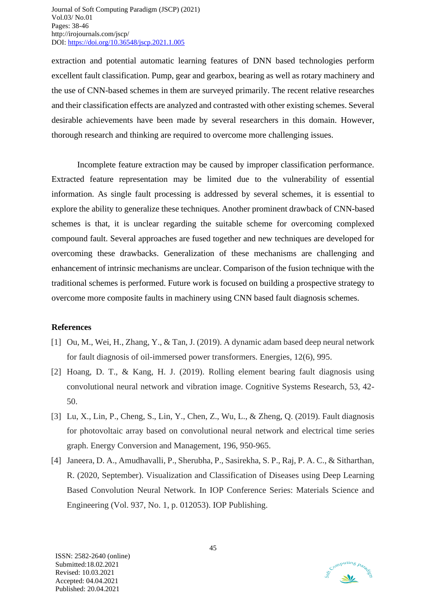extraction and potential automatic learning features of DNN based technologies perform excellent fault classification. Pump, gear and gearbox, bearing as well as rotary machinery and the use of CNN-based schemes in them are surveyed primarily. The recent relative researches and their classification effects are analyzed and contrasted with other existing schemes. Several desirable achievements have been made by several researchers in this domain. However, thorough research and thinking are required to overcome more challenging issues.

Incomplete feature extraction may be caused by improper classification performance. Extracted feature representation may be limited due to the vulnerability of essential information. As single fault processing is addressed by several schemes, it is essential to explore the ability to generalize these techniques. Another prominent drawback of CNN-based schemes is that, it is unclear regarding the suitable scheme for overcoming complexed compound fault. Several approaches are fused together and new techniques are developed for overcoming these drawbacks. Generalization of these mechanisms are challenging and enhancement of intrinsic mechanisms are unclear. Comparison of the fusion technique with the traditional schemes is performed. Future work is focused on building a prospective strategy to overcome more composite faults in machinery using CNN based fault diagnosis schemes.

#### **References**

- [1] Ou, M., Wei, H., Zhang, Y., & Tan, J. (2019). A dynamic adam based deep neural network for fault diagnosis of oil-immersed power transformers. Energies, 12(6), 995.
- [2] Hoang, D. T., & Kang, H. J. (2019). Rolling element bearing fault diagnosis using convolutional neural network and vibration image. Cognitive Systems Research, 53, 42- 50.
- [3] Lu, X., Lin, P., Cheng, S., Lin, Y., Chen, Z., Wu, L., & Zheng, Q. (2019). Fault diagnosis for photovoltaic array based on convolutional neural network and electrical time series graph. Energy Conversion and Management, 196, 950-965.
- [4] Janeera, D. A., Amudhavalli, P., Sherubha, P., Sasirekha, S. P., Raj, P. A. C., & Sitharthan, R. (2020, September). Visualization and Classification of Diseases using Deep Learning Based Convolution Neural Network. In IOP Conference Series: Materials Science and Engineering (Vol. 937, No. 1, p. 012053). IOP Publishing.